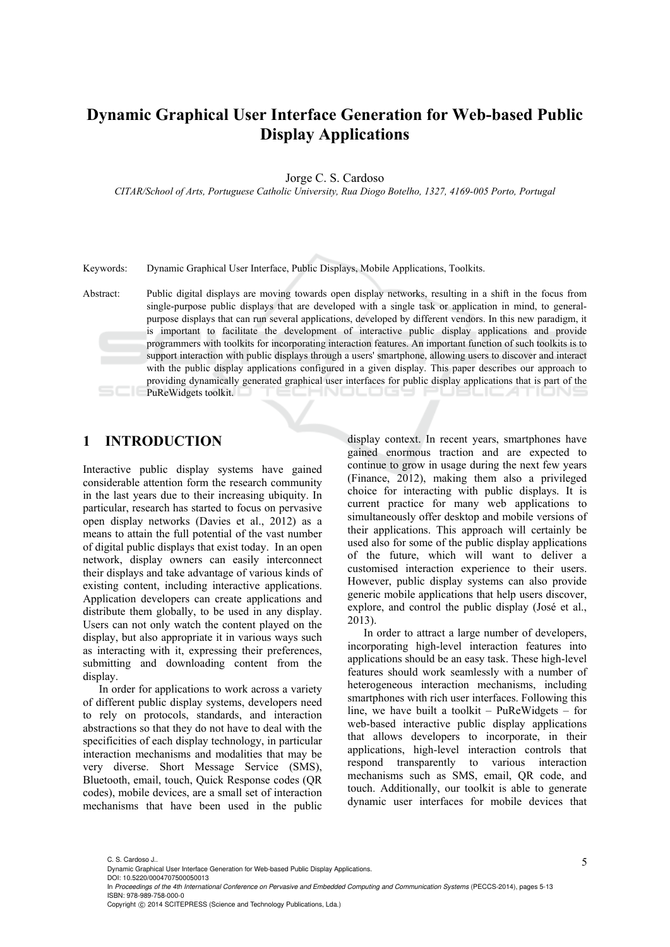## **Dynamic Graphical User Interface Generation for Web-based Public Display Applications**

Jorge C. S. Cardoso

*CITAR/School of Arts, Portuguese Catholic University, Rua Diogo Botelho, 1327, 4169-005 Porto, Portugal* 

Keywords: Dynamic Graphical User Interface, Public Displays, Mobile Applications, Toolkits.

Abstract: Public digital displays are moving towards open display networks, resulting in a shift in the focus from single-purpose public displays that are developed with a single task or application in mind, to generalpurpose displays that can run several applications, developed by different vendors. In this new paradigm, it is important to facilitate the development of interactive public display applications and provide programmers with toolkits for incorporating interaction features. An important function of such toolkits is to support interaction with public displays through a users' smartphone, allowing users to discover and interact with the public display applications configured in a given display. This paper describes our approach to providing dynamically generated graphical user interfaces for public display applications that is part of the PuReWidgets toolkit. 1 N L L L L S S

## **1 INTRODUCTION**

Interactive public display systems have gained considerable attention form the research community in the last years due to their increasing ubiquity. In particular, research has started to focus on pervasive open display networks (Davies et al., 2012) as a means to attain the full potential of the vast number of digital public displays that exist today. In an open network, display owners can easily interconnect their displays and take advantage of various kinds of existing content, including interactive applications. Application developers can create applications and distribute them globally, to be used in any display. Users can not only watch the content played on the display, but also appropriate it in various ways such as interacting with it, expressing their preferences, submitting and downloading content from the display.

In order for applications to work across a variety of different public display systems, developers need to rely on protocols, standards, and interaction abstractions so that they do not have to deal with the specificities of each display technology, in particular interaction mechanisms and modalities that may be very diverse. Short Message Service (SMS), Bluetooth, email, touch, Quick Response codes (QR codes), mobile devices, are a small set of interaction mechanisms that have been used in the public

display context. In recent years, smartphones have gained enormous traction and are expected to continue to grow in usage during the next few years (Finance, 2012), making them also a privileged choice for interacting with public displays. It is current practice for many web applications to simultaneously offer desktop and mobile versions of their applications. This approach will certainly be used also for some of the public display applications of the future, which will want to deliver a customised interaction experience to their users. However, public display systems can also provide generic mobile applications that help users discover, explore, and control the public display (José et al., 2013).

In order to attract a large number of developers, incorporating high-level interaction features into applications should be an easy task. These high-level features should work seamlessly with a number of heterogeneous interaction mechanisms, including smartphones with rich user interfaces. Following this line, we have built a toolkit – PuReWidgets – for web-based interactive public display applications that allows developers to incorporate, in their applications, high-level interaction controls that respond transparently to various interaction mechanisms such as SMS, email, QR code, and touch. Additionally, our toolkit is able to generate dynamic user interfaces for mobile devices that

C. S. Cardoso J..

Dynamic Graphical User Interface Generation for Web-based Public Display Applications.

DOI: 10.5220/0004707500050013

In *Proceedings of the 4th International Conference on Pervasive and Embedded Computing and Communication Systems* (PECCS-2014), pages 5-13 ISBN: 978-989-758-000-0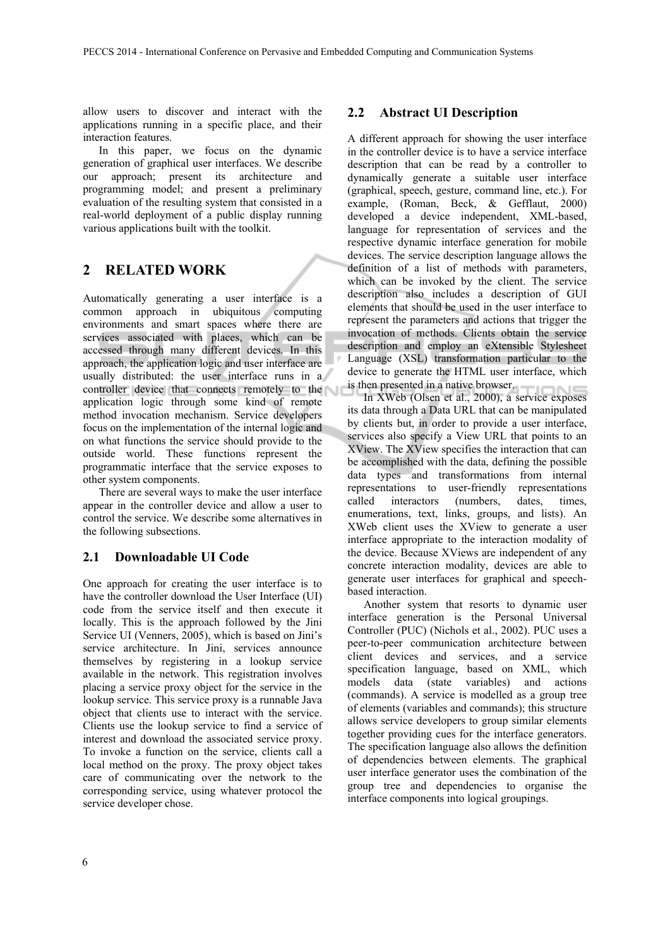allow users to discover and interact with the applications running in a specific place, and their interaction features.

In this paper, we focus on the dynamic generation of graphical user interfaces. We describe our approach; present its architecture and programming model; and present a preliminary evaluation of the resulting system that consisted in a real-world deployment of a public display running various applications built with the toolkit.

## **2 RELATED WORK**

Automatically generating a user interface is a common approach in ubiquitous computing environments and smart spaces where there are services associated with places, which can be accessed through many different devices. In this approach, the application logic and user interface are usually distributed: the user interface runs in a controller device that connects remotely to the application logic through some kind of remote method invocation mechanism. Service developers focus on the implementation of the internal logic and on what functions the service should provide to the outside world. These functions represent the programmatic interface that the service exposes to other system components.

There are several ways to make the user interface appear in the controller device and allow a user to control the service. We describe some alternatives in the following subsections.

## **2.1 Downloadable UI Code**

One approach for creating the user interface is to have the controller download the User Interface (UI) code from the service itself and then execute it locally. This is the approach followed by the Jini Service UI (Venners, 2005), which is based on Jini's service architecture. In Jini, services announce themselves by registering in a lookup service available in the network. This registration involves placing a service proxy object for the service in the lookup service. This service proxy is a runnable Java object that clients use to interact with the service. Clients use the lookup service to find a service of interest and download the associated service proxy. To invoke a function on the service, clients call a local method on the proxy. The proxy object takes care of communicating over the network to the corresponding service, using whatever protocol the service developer chose.

## **2.2 Abstract UI Description**

A different approach for showing the user interface in the controller device is to have a service interface description that can be read by a controller to dynamically generate a suitable user interface (graphical, speech, gesture, command line, etc.). For example, (Roman, Beck, & Gefflaut, 2000) developed a device independent, XML-based, language for representation of services and the respective dynamic interface generation for mobile devices. The service description language allows the definition of a list of methods with parameters, which can be invoked by the client. The service description also includes a description of GUI elements that should be used in the user interface to represent the parameters and actions that trigger the invocation of methods. Clients obtain the service description and employ an eXtensible Stylesheet Language (XSL) transformation particular to the device to generate the HTML user interface, which is then presented in a native browser.

In XWeb (Olsen et al., 2000), a service exposes its data through a Data URL that can be manipulated by clients but, in order to provide a user interface, services also specify a View URL that points to an XView. The XView specifies the interaction that can be accomplished with the data, defining the possible data types and transformations from internal representations to user-friendly representations called interactors (numbers, dates, times, enumerations, text, links, groups, and lists). An XWeb client uses the XView to generate a user interface appropriate to the interaction modality of the device. Because XViews are independent of any concrete interaction modality, devices are able to generate user interfaces for graphical and speechbased interaction.

Another system that resorts to dynamic user interface generation is the Personal Universal Controller (PUC) (Nichols et al., 2002). PUC uses a peer-to-peer communication architecture between client devices and services, and a service specification language, based on XML, which models data (state variables) and actions (commands). A service is modelled as a group tree of elements (variables and commands); this structure allows service developers to group similar elements together providing cues for the interface generators. The specification language also allows the definition of dependencies between elements. The graphical user interface generator uses the combination of the group tree and dependencies to organise the interface components into logical groupings.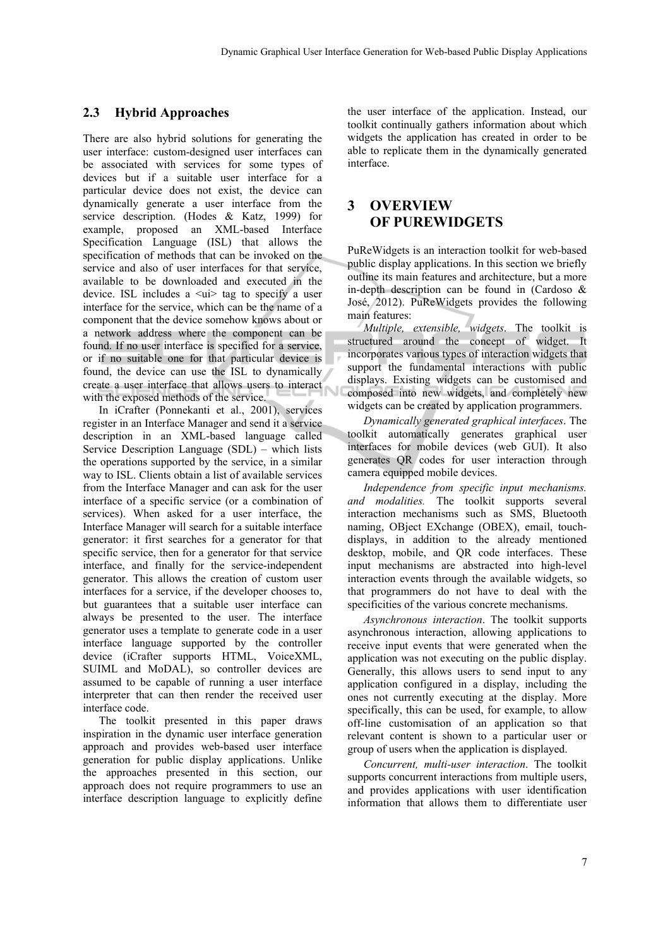## **2.3 Hybrid Approaches**

There are also hybrid solutions for generating the user interface: custom-designed user interfaces can be associated with services for some types of devices but if a suitable user interface for a particular device does not exist, the device can dynamically generate a user interface from the service description. (Hodes & Katz, 1999) for example, proposed an XML-based Interface Specification Language (ISL) that allows the specification of methods that can be invoked on the service and also of user interfaces for that service, available to be downloaded and executed in the device. ISL includes a  $\langle ui \rangle$  tag to specify a user interface for the service, which can be the name of a component that the device somehow knows about or a network address where the component can be found. If no user interface is specified for a service, or if no suitable one for that particular device is found, the device can use the ISL to dynamically create a user interface that allows users to interact with the exposed methods of the service.

In iCrafter (Ponnekanti et al., 2001), services register in an Interface Manager and send it a service description in an XML-based language called Service Description Language (SDL) – which lists the operations supported by the service, in a similar way to ISL. Clients obtain a list of available services from the Interface Manager and can ask for the user interface of a specific service (or a combination of services). When asked for a user interface, the Interface Manager will search for a suitable interface generator: it first searches for a generator for that specific service, then for a generator for that service interface, and finally for the service-independent generator. This allows the creation of custom user interfaces for a service, if the developer chooses to, but guarantees that a suitable user interface can always be presented to the user. The interface generator uses a template to generate code in a user interface language supported by the controller device (iCrafter supports HTML, VoiceXML, SUIML and MoDAL), so controller devices are assumed to be capable of running a user interface interpreter that can then render the received user interface code.

The toolkit presented in this paper draws inspiration in the dynamic user interface generation approach and provides web-based user interface generation for public display applications. Unlike the approaches presented in this section, our approach does not require programmers to use an interface description language to explicitly define

the user interface of the application. Instead, our toolkit continually gathers information about which widgets the application has created in order to be able to replicate them in the dynamically generated interface.

## **3 OVERVIEW OF PUREWIDGETS**

PuReWidgets is an interaction toolkit for web-based public display applications. In this section we briefly outline its main features and architecture, but a more in-depth description can be found in (Cardoso & José, 2012). PuReWidgets provides the following main features:

*Multiple, extensible, widgets*. The toolkit is structured around the concept of widget. It incorporates various types of interaction widgets that support the fundamental interactions with public displays. Existing widgets can be customised and composed into new widgets, and completely new widgets can be created by application programmers.

*Dynamically generated graphical interfaces*. The toolkit automatically generates graphical user interfaces for mobile devices (web GUI). It also generates QR codes for user interaction through camera equipped mobile devices.

*Independence from specific input mechanisms. and modalities.* The toolkit supports several interaction mechanisms such as SMS, Bluetooth naming, OBject EXchange (OBEX), email, touchdisplays, in addition to the already mentioned desktop, mobile, and QR code interfaces. These input mechanisms are abstracted into high-level interaction events through the available widgets, so that programmers do not have to deal with the specificities of the various concrete mechanisms.

*Asynchronous interaction*. The toolkit supports asynchronous interaction, allowing applications to receive input events that were generated when the application was not executing on the public display. Generally, this allows users to send input to any application configured in a display, including the ones not currently executing at the display. More specifically, this can be used, for example, to allow off-line customisation of an application so that relevant content is shown to a particular user or group of users when the application is displayed.

*Concurrent, multi-user interaction*. The toolkit supports concurrent interactions from multiple users, and provides applications with user identification information that allows them to differentiate user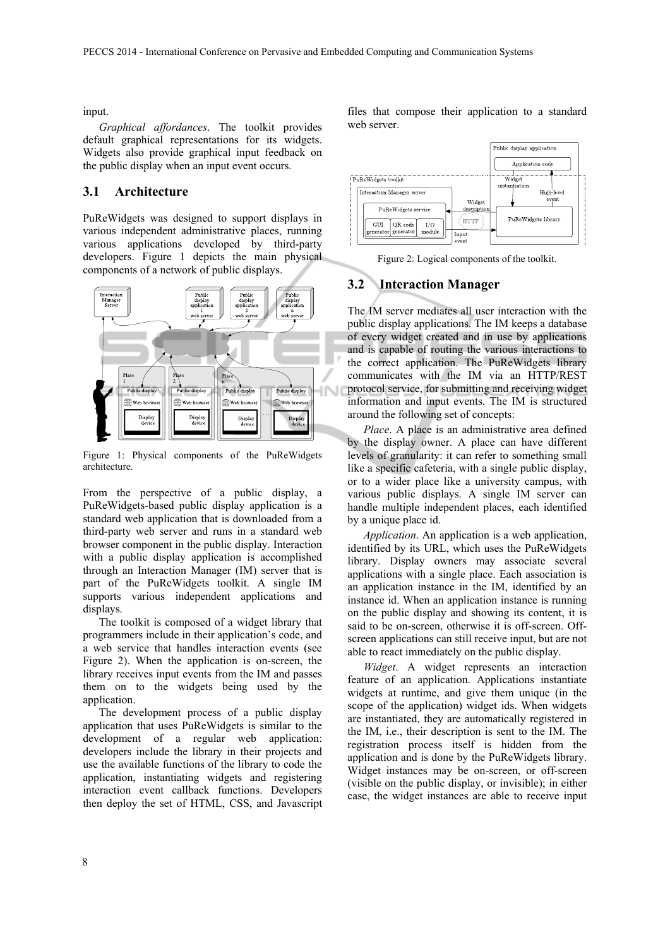input.

*Graphical affordances*. The toolkit provides default graphical representations for its widgets. Widgets also provide graphical input feedback on the public display when an input event occurs.

#### **3.1 Architecture**

PuReWidgets was designed to support displays in various independent administrative places, running various applications developed by third-party developers. Figure 1 depicts the main physical components of a network of public displays.



Figure 1: Physical components of the PuReWidgets architecture.

From the perspective of a public display, a PuReWidgets-based public display application is a standard web application that is downloaded from a third-party web server and runs in a standard web browser component in the public display. Interaction with a public display application is accomplished through an Interaction Manager (IM) server that is part of the PuReWidgets toolkit. A single IM supports various independent applications and displays.

The toolkit is composed of a widget library that programmers include in their application's code, and a web service that handles interaction events (see Figure 2). When the application is on-screen, the library receives input events from the IM and passes them on to the widgets being used by the application.

The development process of a public display application that uses PuReWidgets is similar to the development of a regular web application: developers include the library in their projects and use the available functions of the library to code the application, instantiating widgets and registering interaction event callback functions. Developers then deploy the set of HTML, CSS, and Javascript

files that compose their application to a standard web server.



Figure 2: Logical components of the toolkit.

## **3.2 Interaction Manager**

The IM server mediates all user interaction with the public display applications. The IM keeps a database of every widget created and in use by applications and is capable of routing the various interactions to the correct application. The PuReWidgets library communicates with the IM via an HTTP/REST protocol service, for submitting and receiving widget information and input events. The IM is structured around the following set of concepts:

*Place*. A place is an administrative area defined by the display owner. A place can have different levels of granularity: it can refer to something small like a specific cafeteria, with a single public display, or to a wider place like a university campus, with various public displays. A single IM server can handle multiple independent places, each identified by a unique place id.

*Application*. An application is a web application, identified by its URL, which uses the PuReWidgets library. Display owners may associate several applications with a single place. Each association is an application instance in the IM, identified by an instance id. When an application instance is running on the public display and showing its content, it is said to be on-screen, otherwise it is off-screen. Offscreen applications can still receive input, but are not able to react immediately on the public display.

*Widget*. A widget represents an interaction feature of an application. Applications instantiate widgets at runtime, and give them unique (in the scope of the application) widget ids. When widgets are instantiated, they are automatically registered in the IM, i.e., their description is sent to the IM. The registration process itself is hidden from the application and is done by the PuReWidgets library. Widget instances may be on-screen, or off-screen (visible on the public display, or invisible); in either case, the widget instances are able to receive input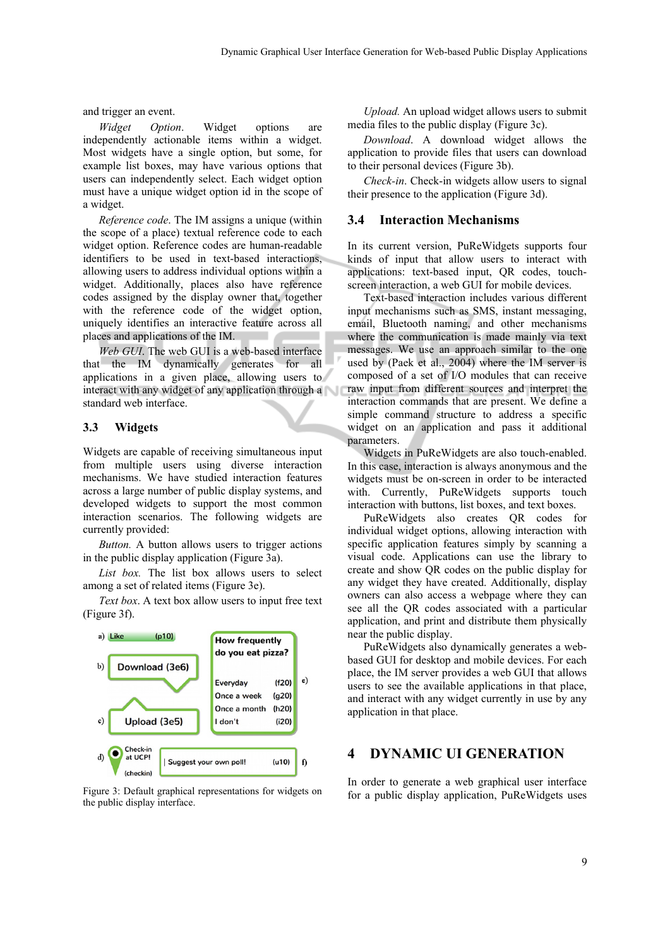and trigger an event.

*Widget Option*. Widget options are independently actionable items within a widget. Most widgets have a single option, but some, for example list boxes, may have various options that users can independently select. Each widget option must have a unique widget option id in the scope of a widget.

*Reference code*. The IM assigns a unique (within the scope of a place) textual reference code to each widget option. Reference codes are human-readable identifiers to be used in text-based interactions, allowing users to address individual options within a widget. Additionally, places also have reference codes assigned by the display owner that, together with the reference code of the widget option, uniquely identifies an interactive feature across all places and applications of the IM.

*Web GUI*. The web GUI is a web-based interface that the IM dynamically generates for all applications in a given place, allowing users to interact with any widget of any application through a standard web interface.

#### **3.3 Widgets**

Widgets are capable of receiving simultaneous input from multiple users using diverse interaction mechanisms. We have studied interaction features across a large number of public display systems, and developed widgets to support the most common interaction scenarios. The following widgets are currently provided:

*Button.* A button allows users to trigger actions in the public display application (Figure 3a).

*List box.* The list box allows users to select among a set of related items (Figure 3e).

*Text box*. A text box allow users to input free text (Figure 3f).



Figure 3: Default graphical representations for widgets on the public display interface.

*Upload.* An upload widget allows users to submit media files to the public display (Figure 3c).

*Download*. A download widget allows the application to provide files that users can download to their personal devices (Figure 3b).

*Check-in*. Check-in widgets allow users to signal their presence to the application (Figure 3d).

#### **3.4 Interaction Mechanisms**

In its current version, PuReWidgets supports four kinds of input that allow users to interact with applications: text-based input, QR codes, touchscreen interaction, a web GUI for mobile devices.

Text-based interaction includes various different input mechanisms such as SMS, instant messaging, email, Bluetooth naming, and other mechanisms where the communication is made mainly via text messages. We use an approach similar to the one used by (Paek et al., 2004) where the IM server is composed of a set of I/O modules that can receive raw input from different sources and interpret the interaction commands that are present. We define a simple command structure to address a specific widget on an application and pass it additional parameters.

Widgets in PuReWidgets are also touch-enabled. In this case, interaction is always anonymous and the widgets must be on-screen in order to be interacted with. Currently, PuReWidgets supports touch interaction with buttons, list boxes, and text boxes.

PuReWidgets also creates QR codes for individual widget options, allowing interaction with specific application features simply by scanning a visual code. Applications can use the library to create and show QR codes on the public display for any widget they have created. Additionally, display owners can also access a webpage where they can see all the QR codes associated with a particular application, and print and distribute them physically near the public display.

PuReWidgets also dynamically generates a webbased GUI for desktop and mobile devices. For each place, the IM server provides a web GUI that allows users to see the available applications in that place, and interact with any widget currently in use by any application in that place.

## **4 DYNAMIC UI GENERATION**

In order to generate a web graphical user interface for a public display application, PuReWidgets uses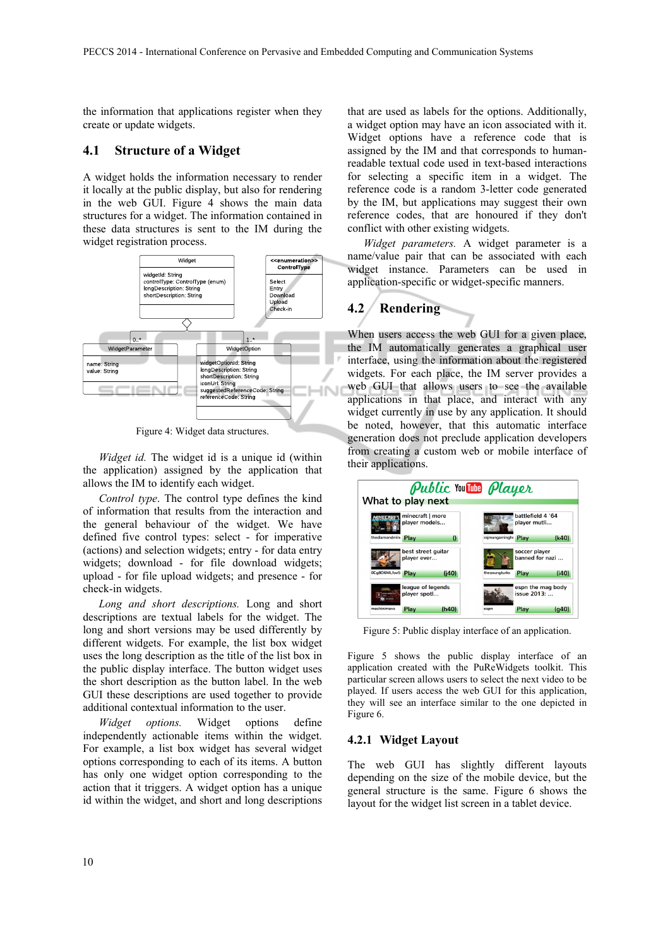the information that applications register when they create or update widgets.

## **4.1 Structure of a Widget**

A widget holds the information necessary to render it locally at the public display, but also for rendering in the web GUI. Figure 4 shows the main data structures for a widget. The information contained in these data structures is sent to the IM during the widget registration process.



Figure 4: Widget data structures.

*Widget id.* The widget id is a unique id (within the application) assigned by the application that allows the IM to identify each widget.

*Control type*. The control type defines the kind of information that results from the interaction and the general behaviour of the widget. We have defined five control types: select - for imperative (actions) and selection widgets; entry - for data entry widgets; download - for file download widgets; upload - for file upload widgets; and presence - for check-in widgets.

*Long and short descriptions.* Long and short descriptions are textual labels for the widget. The long and short versions may be used differently by different widgets. For example, the list box widget uses the long description as the title of the list box in the public display interface. The button widget uses the short description as the button label. In the web GUI these descriptions are used together to provide additional contextual information to the user.

*Widget options.* Widget options define independently actionable items within the widget. For example, a list box widget has several widget options corresponding to each of its items. A button has only one widget option corresponding to the action that it triggers. A widget option has a unique id within the widget, and short and long descriptions

that are used as labels for the options. Additionally, a widget option may have an icon associated with it. Widget options have a reference code that is assigned by the IM and that corresponds to humanreadable textual code used in text-based interactions for selecting a specific item in a widget. The reference code is a random 3-letter code generated by the IM, but applications may suggest their own reference codes, that are honoured if they don't conflict with other existing widgets.

*Widget parameters.* A widget parameter is a name/value pair that can be associated with each widget instance. Parameters can be used in application-specific or widget-specific manners.

## **4.2 Rendering**

When users access the web GUI for a given place, the IM automatically generates a graphical user interface, using the information about the registered widgets. For each place, the IM server provides a web GUI that allows users to see the available applications in that place, and interact with any widget currently in use by any application. It should be noted, however, that this automatic interface generation does not preclude application developers from creating a custom web or mobile interface of their applications.



Figure 5: Public display interface of an application.

Figure 5 shows the public display interface of an application created with the PuReWidgets toolkit. This particular screen allows users to select the next video to be played. If users access the web GUI for this application, they will see an interface similar to the one depicted in Figure 6.

#### **4.2.1 Widget Layout**

The web GUI has slightly different layouts depending on the size of the mobile device, but the general structure is the same. Figure 6 shows the layout for the widget list screen in a tablet device.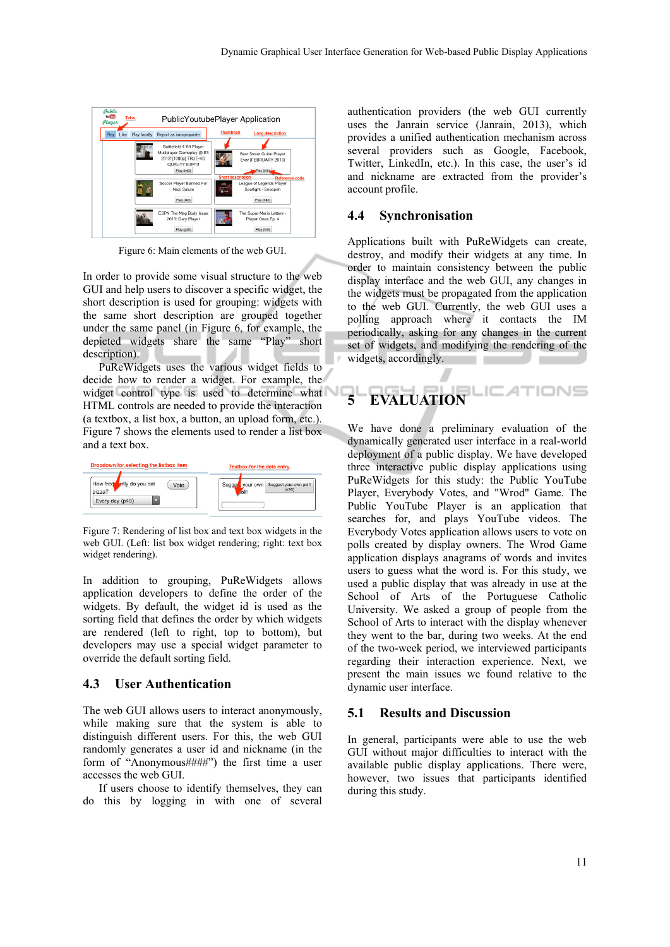

Figure 6: Main elements of the web GUI.

In order to provide some visual structure to the web GUI and help users to discover a specific widget, the short description is used for grouping: widgets with the same short description are grouped together under the same panel (in Figure 6, for example, the depicted widgets share the same "Play" short description).

PuReWidgets uses the various widget fields to decide how to render a widget. For example, the widget control type is used to determine what HTML controls are needed to provide the interaction (a textbox, a list box, a button, an upload form, etc.). Figure 7 shows the elements used to render a list box and a text box.



Figure 7: Rendering of list box and text box widgets in the web GUI. (Left: list box widget rendering; right: text box widget rendering).

In addition to grouping, PuReWidgets allows application developers to define the order of the widgets. By default, the widget id is used as the sorting field that defines the order by which widgets are rendered (left to right, top to bottom), but developers may use a special widget parameter to override the default sorting field.

## **4.3 User Authentication**

The web GUI allows users to interact anonymously, while making sure that the system is able to distinguish different users. For this, the web GUI randomly generates a user id and nickname (in the form of "Anonymous####") the first time a user accesses the web GUI.

If users choose to identify themselves, they can do this by logging in with one of several

authentication providers (the web GUI currently uses the Janrain service (Janrain, 2013), which provides a unified authentication mechanism across several providers such as Google, Facebook, Twitter, LinkedIn, etc.). In this case, the user's id and nickname are extracted from the provider's account profile.

#### **4.4 Synchronisation**

Applications built with PuReWidgets can create, destroy, and modify their widgets at any time. In order to maintain consistency between the public display interface and the web GUI, any changes in the widgets must be propagated from the application to the web GUI. Currently, the web GUI uses a polling approach where it contacts the IM periodically, asking for any changes in the current set of widgets, and modifying the rendering of the widgets, accordingly.

## **5 EVALUATION**  ATIONS

We have done a preliminary evaluation of the dynamically generated user interface in a real-world deployment of a public display. We have developed three interactive public display applications using PuReWidgets for this study: the Public YouTube Player, Everybody Votes, and "Wrod" Game. The Public YouTube Player is an application that searches for, and plays YouTube videos. The Everybody Votes application allows users to vote on polls created by display owners. The Wrod Game application displays anagrams of words and invites users to guess what the word is. For this study, we used a public display that was already in use at the School of Arts of the Portuguese Catholic University. We asked a group of people from the School of Arts to interact with the display whenever they went to the bar, during two weeks. At the end of the two-week period, we interviewed participants regarding their interaction experience. Next, we present the main issues we found relative to the dynamic user interface.

#### **5.1 Results and Discussion**

In general, participants were able to use the web GUI without major difficulties to interact with the available public display applications. There were, however, two issues that participants identified during this study.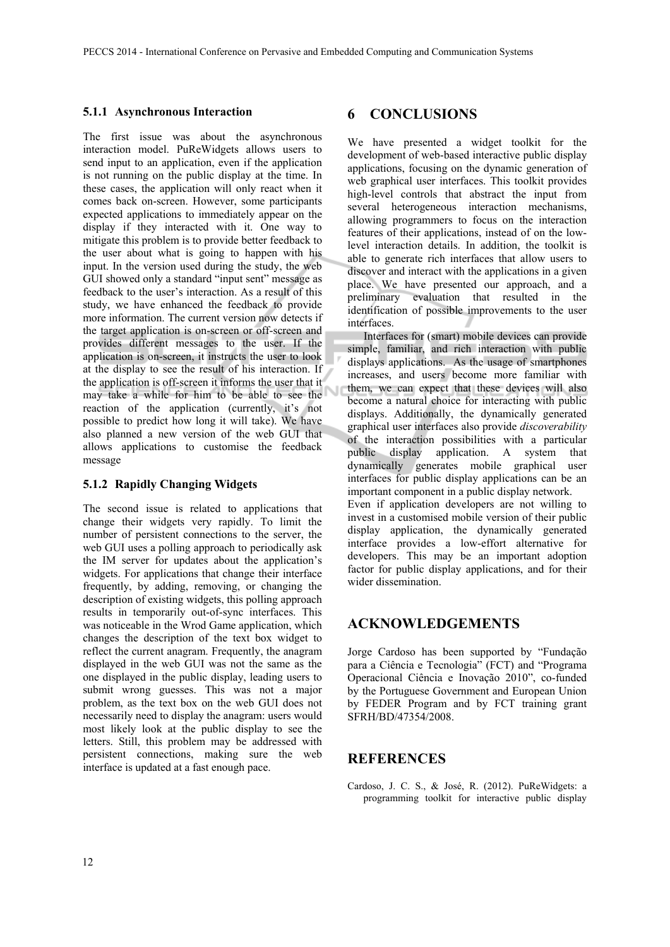#### **5.1.1 Asynchronous Interaction**

The first issue was about the asynchronous interaction model. PuReWidgets allows users to send input to an application, even if the application is not running on the public display at the time. In these cases, the application will only react when it comes back on-screen. However, some participants expected applications to immediately appear on the display if they interacted with it. One way to mitigate this problem is to provide better feedback to the user about what is going to happen with his input. In the version used during the study, the web GUI showed only a standard "input sent" message as feedback to the user's interaction. As a result of this study, we have enhanced the feedback to provide more information. The current version now detects if the target application is on-screen or off-screen and provides different messages to the user. If the application is on-screen, it instructs the user to look at the display to see the result of his interaction. If the application is off-screen it informs the user that it may take a while for him to be able to see the reaction of the application (currently, it's not possible to predict how long it will take). We have also planned a new version of the web GUI that allows applications to customise the feedback message

#### **5.1.2 Rapidly Changing Widgets**

The second issue is related to applications that change their widgets very rapidly. To limit the number of persistent connections to the server, the web GUI uses a polling approach to periodically ask the IM server for updates about the application's widgets. For applications that change their interface frequently, by adding, removing, or changing the description of existing widgets, this polling approach results in temporarily out-of-sync interfaces. This was noticeable in the Wrod Game application, which changes the description of the text box widget to reflect the current anagram. Frequently, the anagram displayed in the web GUI was not the same as the one displayed in the public display, leading users to submit wrong guesses. This was not a major problem, as the text box on the web GUI does not necessarily need to display the anagram: users would most likely look at the public display to see the letters. Still, this problem may be addressed with persistent connections, making sure the web interface is updated at a fast enough pace.

## **6 CONCLUSIONS**

We have presented a widget toolkit for the development of web-based interactive public display applications, focusing on the dynamic generation of web graphical user interfaces. This toolkit provides high-level controls that abstract the input from several heterogeneous interaction mechanisms, allowing programmers to focus on the interaction features of their applications, instead of on the lowlevel interaction details. In addition, the toolkit is able to generate rich interfaces that allow users to discover and interact with the applications in a given place. We have presented our approach, and a preliminary evaluation that resulted in the identification of possible improvements to the user interfaces.

Interfaces for (smart) mobile devices can provide simple, familiar, and rich interaction with public displays applications. As the usage of smartphones increases, and users become more familiar with them, we can expect that these devices will also become a natural choice for interacting with public displays. Additionally, the dynamically generated graphical user interfaces also provide *discoverability* of the interaction possibilities with a particular public display application. A system that dynamically generates mobile graphical user interfaces for public display applications can be an important component in a public display network.

Even if application developers are not willing to invest in a customised mobile version of their public display application, the dynamically generated interface provides a low-effort alternative for developers. This may be an important adoption factor for public display applications, and for their wider dissemination

### **ACKNOWLEDGEMENTS**

Jorge Cardoso has been supported by "Fundação para a Ciência e Tecnologia" (FCT) and "Programa Operacional Ciência e Inovação 2010", co-funded by the Portuguese Government and European Union by FEDER Program and by FCT training grant SFRH/BD/47354/2008.

## **REFERENCES**

Cardoso, J. C. S., & José, R. (2012). PuReWidgets: a programming toolkit for interactive public display